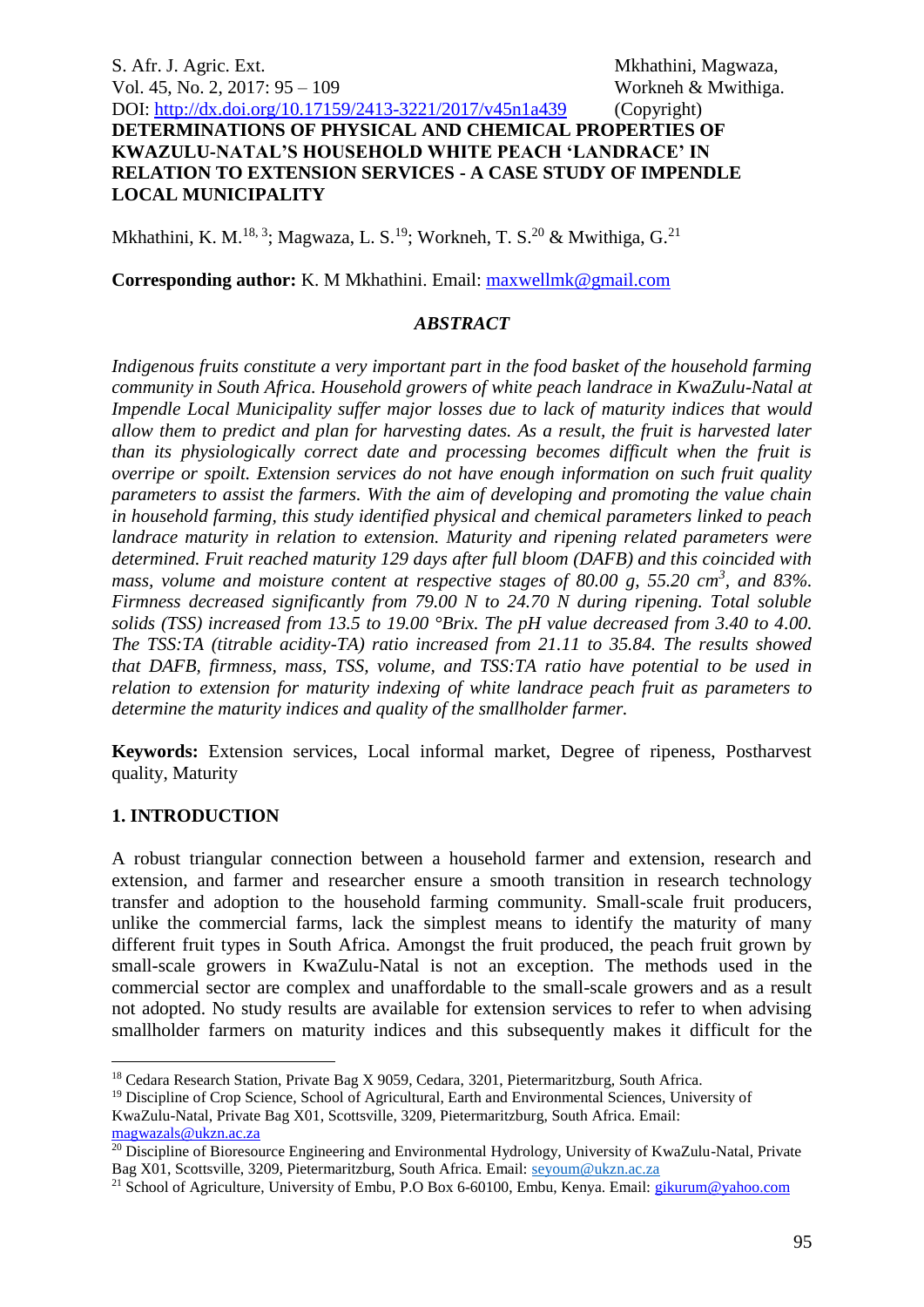## S. Afr. J. Agric. Ext. Mkhathini, Magwaza, Vol. 45, No. 2, 2017: 95 – 109 Workneh & Mwithiga. DOI: <http://dx.doi.org/10.17159/2413-3221/2017/v45n1a439> (Copyright) **DETERMINATIONS OF PHYSICAL AND CHEMICAL PROPERTIES OF KWAZULU-NATAL'S HOUSEHOLD WHITE PEACH 'LANDRACE' IN RELATION TO EXTENSION SERVICES - A CASE STUDY OF IMPENDLE LOCAL MUNICIPALITY**

Mkhathini, K. M.<sup>18, 3</sup>; Magwaza, L. S.<sup>19</sup>; Workneh, T. S.<sup>20</sup> & Mwithiga, G.<sup>21</sup>

**Corresponding author:** K. M Mkhathini. Email: [maxwellmk@gmail.com](mailto:maxwellmk@gmail.com)

### *ABSTRACT*

*Indigenous fruits constitute a very important part in the food basket of the household farming community in South Africa. Household growers of white peach landrace in KwaZulu-Natal at Impendle Local Municipality suffer major losses due to lack of maturity indices that would allow them to predict and plan for harvesting dates. As a result, the fruit is harvested later than its physiologically correct date and processing becomes difficult when the fruit is overripe or spoilt. Extension services do not have enough information on such fruit quality parameters to assist the farmers. With the aim of developing and promoting the value chain in household farming, this study identified physical and chemical parameters linked to peach landrace maturity in relation to extension. Maturity and ripening related parameters were determined. Fruit reached maturity 129 days after full bloom (DAFB) and this coincided with mass, volume and moisture content at respective stages of 80.00 g, 55.20 cm<sup>3</sup>, and 83%. Firmness decreased significantly from 79.00 N to 24.70 N during ripening. Total soluble solids (TSS) increased from 13.5 to 19.00 °Brix. The pH value decreased from 3.40 to 4.00. The TSS:TA (titrable acidity-TA) ratio increased from 21.11 to 35.84. The results showed that DAFB, firmness, mass, TSS, volume, and TSS:TA ratio have potential to be used in relation to extension for maturity indexing of white landrace peach fruit as parameters to determine the maturity indices and quality of the smallholder farmer.* 

**Keywords:** Extension services, Local informal market, Degree of ripeness, Postharvest quality, Maturity

#### **1. INTRODUCTION**

1

A robust triangular connection between a household farmer and extension, research and extension, and farmer and researcher ensure a smooth transition in research technology transfer and adoption to the household farming community. Small-scale fruit producers, unlike the commercial farms, lack the simplest means to identify the maturity of many different fruit types in South Africa. Amongst the fruit produced, the peach fruit grown by small-scale growers in KwaZulu-Natal is not an exception. The methods used in the commercial sector are complex and unaffordable to the small-scale growers and as a result not adopted. No study results are available for extension services to refer to when advising smallholder farmers on maturity indices and this subsequently makes it difficult for the

<sup>&</sup>lt;sup>18</sup> Cedara Research Station, Private Bag X 9059, Cedara, 3201, Pietermaritzburg, South Africa.

<sup>&</sup>lt;sup>19</sup> Discipline of Crop Science, School of Agricultural, Earth and Environmental Sciences, University of

KwaZulu-Natal, Private Bag X01, Scottsville, 3209, Pietermaritzburg, South Africa. Email: [magwazals@ukzn.ac.za](mailto:magwazals@ukzn.ac.za)

<sup>&</sup>lt;sup>20</sup> Discipline of Bioresource Engineering and Environmental Hydrology, University of KwaZulu-Natal, Private Bag X01, Scottsville, 3209, Pietermaritzburg, South Africa. Email: [seyoum@ukzn.ac.za](mailto:seyoum@ukzn.ac.za)

<sup>21</sup> School of Agriculture, University of Embu, P.O Box 6-60100, Embu, Kenya. Email: [gikurum@yahoo.com](mailto:gikurum@yahoo.com)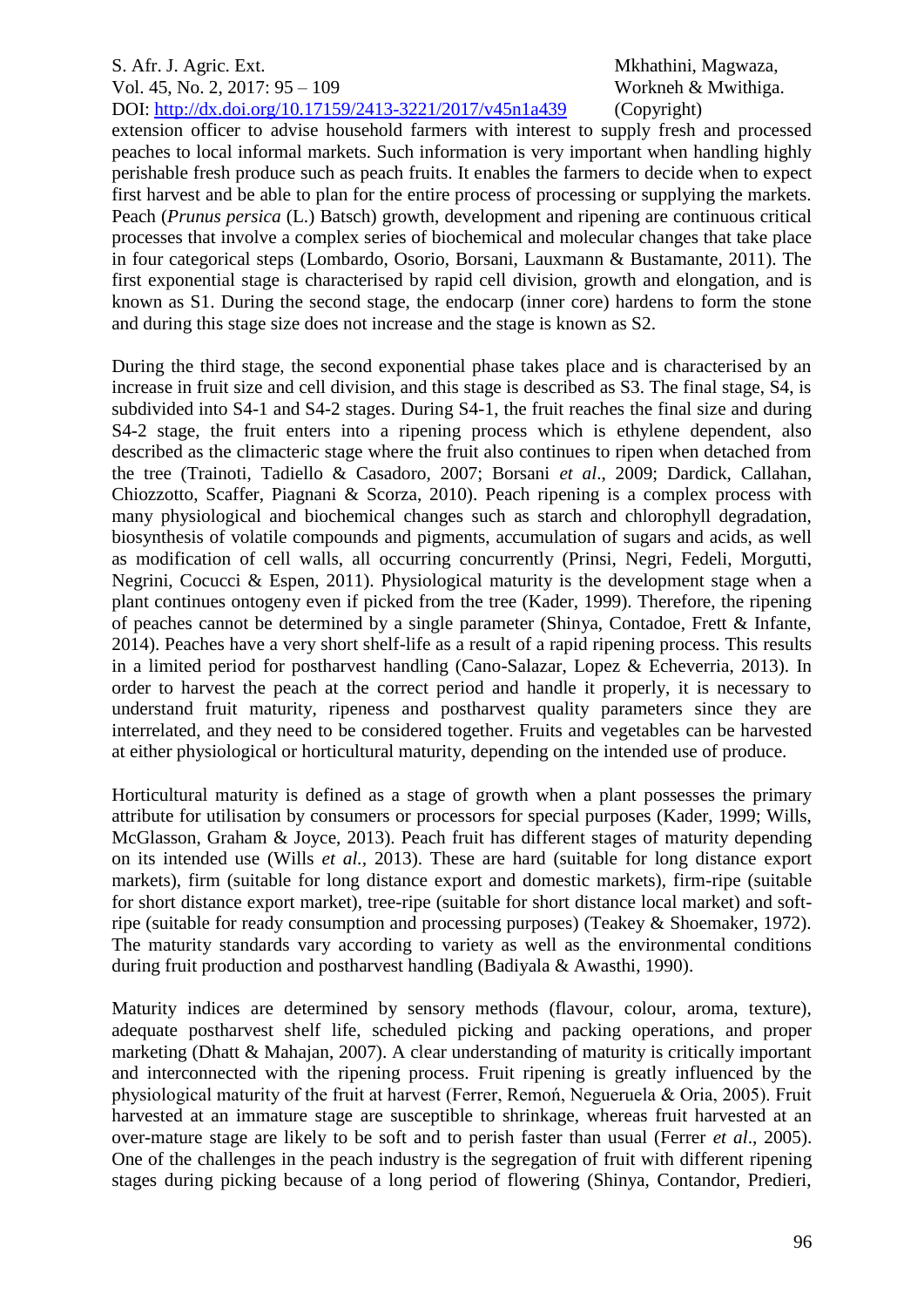extension officer to advise household farmers with interest to supply fresh and processed peaches to local informal markets. Such information is very important when handling highly perishable fresh produce such as peach fruits. It enables the farmers to decide when to expect first harvest and be able to plan for the entire process of processing or supplying the markets. Peach (*Prunus persica* (L.) Batsch) growth, development and ripening are continuous critical processes that involve a complex series of biochemical and molecular changes that take place in four categorical steps (Lombardo, Osorio, Borsani, Lauxmann & Bustamante, 2011). The first exponential stage is characterised by rapid cell division, growth and elongation, and is known as S1. During the second stage, the endocarp (inner core) hardens to form the stone and during this stage size does not increase and the stage is known as S2.

During the third stage, the second exponential phase takes place and is characterised by an increase in fruit size and cell division, and this stage is described as S3. The final stage, S4, is subdivided into S4-1 and S4-2 stages. During S4-1, the fruit reaches the final size and during S4-2 stage, the fruit enters into a ripening process which is ethylene dependent, also described as the climacteric stage where the fruit also continues to ripen when detached from the tree (Trainoti, Tadiello & Casadoro, 2007; Borsani *et al*., 2009; Dardick, Callahan, Chiozzotto, Scaffer, Piagnani & Scorza, 2010). Peach ripening is a complex process with many physiological and biochemical changes such as starch and chlorophyll degradation, biosynthesis of volatile compounds and pigments, accumulation of sugars and acids, as well as modification of cell walls, all occurring concurrently (Prinsi, Negri, Fedeli, Morgutti, Negrini, Cocucci & Espen, 2011). Physiological maturity is the development stage when a plant continues ontogeny even if picked from the tree (Kader, 1999). Therefore, the ripening of peaches cannot be determined by a single parameter (Shinya, Contadoe, Frett & Infante, 2014). Peaches have a very short shelf-life as a result of a rapid ripening process. This results in a limited period for postharvest handling (Cano-Salazar, Lopez & Echeverria, 2013). In order to harvest the peach at the correct period and handle it properly, it is necessary to understand fruit maturity, ripeness and postharvest quality parameters since they are interrelated, and they need to be considered together. Fruits and vegetables can be harvested at either physiological or horticultural maturity, depending on the intended use of produce.

Horticultural maturity is defined as a stage of growth when a plant possesses the primary attribute for utilisation by consumers or processors for special purposes (Kader, 1999; Wills, McGlasson, Graham & Joyce, 2013). Peach fruit has different stages of maturity depending on its intended use (Wills *et al.,* 2013). These are hard (suitable for long distance export markets), firm (suitable for long distance export and domestic markets), firm-ripe (suitable for short distance export market), tree-ripe (suitable for short distance local market) and softripe (suitable for ready consumption and processing purposes) (Teakey & Shoemaker, 1972). The maturity standards vary according to variety as well as the environmental conditions during fruit production and postharvest handling (Badiyala & Awasthi, 1990).

Maturity indices are determined by sensory methods (flavour, colour, aroma, texture), adequate postharvest shelf life, scheduled picking and packing operations, and proper marketing (Dhatt & Mahajan, 2007). A clear understanding of maturity is critically important and interconnected with the ripening process. Fruit ripening is greatly influenced by the physiological maturity of the fruit at harvest (Ferrer, Remoń, Negueruela & Oria, 2005). Fruit harvested at an immature stage are susceptible to shrinkage, whereas fruit harvested at an over-mature stage are likely to be soft and to perish faster than usual (Ferrer *et al*., 2005). One of the challenges in the peach industry is the segregation of fruit with different ripening stages during picking because of a long period of flowering (Shinya, Contandor, Predieri,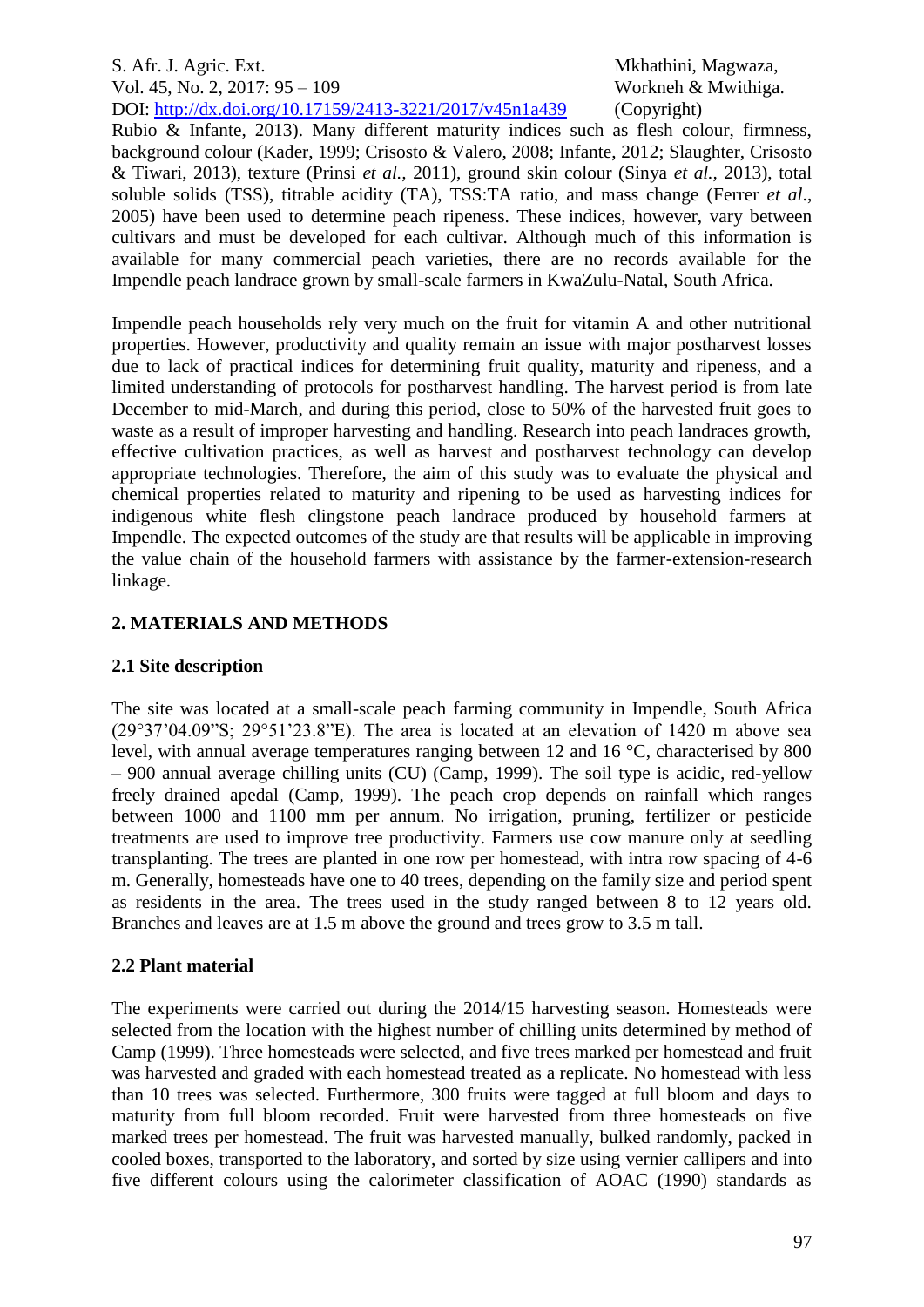Rubio  $\&$  Infante, 2013). Many different maturity indices such as flesh colour, firmness, background colour (Kader, 1999; Crisosto & Valero, 2008; Infante, 2012; Slaughter, Crisosto & Tiwari, 2013), texture (Prinsi *et al.,* 2011), ground skin colour (Sinya *et al.,* 2013), total soluble solids (TSS), titrable acidity (TA), TSS:TA ratio, and mass change (Ferrer *et al*., 2005) have been used to determine peach ripeness. These indices, however, vary between cultivars and must be developed for each cultivar. Although much of this information is available for many commercial peach varieties, there are no records available for the Impendle peach landrace grown by small-scale farmers in KwaZulu-Natal, South Africa.

Impendle peach households rely very much on the fruit for vitamin A and other nutritional properties. However, productivity and quality remain an issue with major postharvest losses due to lack of practical indices for determining fruit quality, maturity and ripeness, and a limited understanding of protocols for postharvest handling. The harvest period is from late December to mid-March, and during this period, close to 50% of the harvested fruit goes to waste as a result of improper harvesting and handling. Research into peach landraces growth, effective cultivation practices, as well as harvest and postharvest technology can develop appropriate technologies. Therefore, the aim of this study was to evaluate the physical and chemical properties related to maturity and ripening to be used as harvesting indices for indigenous white flesh clingstone peach landrace produced by household farmers at Impendle. The expected outcomes of the study are that results will be applicable in improving the value chain of the household farmers with assistance by the farmer-extension-research linkage.

# **2. MATERIALS AND METHODS**

# **2.1 Site description**

The site was located at a small-scale peach farming community in Impendle, South Africa  $(29°37'04.09''S; 29°51'23.8''E)$ . The area is located at an elevation of 1420 m above sea level, with annual average temperatures ranging between 12 and 16 °C, characterised by 800 – 900 annual average chilling units (CU) (Camp, 1999). The soil type is acidic, red-yellow freely drained apedal (Camp, 1999). The peach crop depends on rainfall which ranges between 1000 and 1100 mm per annum. No irrigation, pruning, fertilizer or pesticide treatments are used to improve tree productivity. Farmers use cow manure only at seedling transplanting. The trees are planted in one row per homestead, with intra row spacing of 4-6 m. Generally, homesteads have one to 40 trees, depending on the family size and period spent as residents in the area. The trees used in the study ranged between 8 to 12 years old. Branches and leaves are at 1.5 m above the ground and trees grow to 3.5 m tall.

# **2.2 Plant material**

The experiments were carried out during the 2014/15 harvesting season. Homesteads were selected from the location with the highest number of chilling units determined by method of Camp (1999). Three homesteads were selected, and five trees marked per homestead and fruit was harvested and graded with each homestead treated as a replicate. No homestead with less than 10 trees was selected. Furthermore, 300 fruits were tagged at full bloom and days to maturity from full bloom recorded. Fruit were harvested from three homesteads on five marked trees per homestead. The fruit was harvested manually, bulked randomly, packed in cooled boxes, transported to the laboratory, and sorted by size using vernier callipers and into five different colours using the calorimeter classification of AOAC (1990) standards as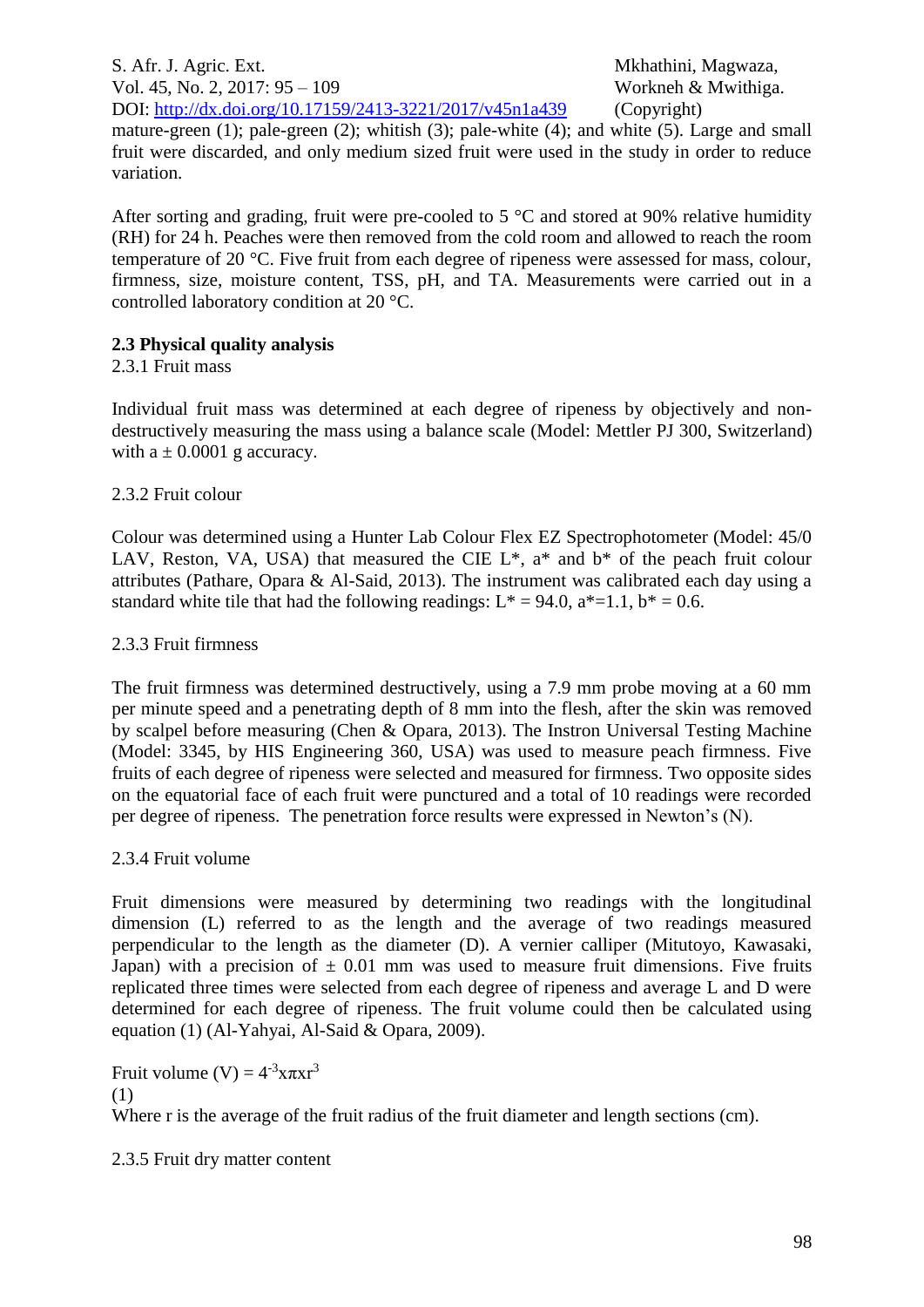S. Afr. J. Agric. Ext. Mkhathini, Magwaza, Vol. 45, No. 2, 2017: 95 – 109 Workneh & Mwithiga.

DOI: <http://dx.doi.org/10.17159/2413-3221/2017/v45n1a439> (Copyright) mature-green (1); pale-green (2); whitish (3); pale-white (4); and white (5). Large and small fruit were discarded, and only medium sized fruit were used in the study in order to reduce variation.

After sorting and grading, fruit were pre-cooled to 5  $\degree$ C and stored at 90% relative humidity (RH) for 24 h. Peaches were then removed from the cold room and allowed to reach the room temperature of 20 °C. Five fruit from each degree of ripeness were assessed for mass, colour, firmness, size, moisture content, TSS, pH, and TA. Measurements were carried out in a controlled laboratory condition at 20 °C.

# **2.3 Physical quality analysis**

# 2.3.1 Fruit mass

Individual fruit mass was determined at each degree of ripeness by objectively and nondestructively measuring the mass using a balance scale (Model: Mettler PJ 300, Switzerland) with  $a \pm 0.0001$  g accuracy.

# 2.3.2 Fruit colour

Colour was determined using a Hunter Lab Colour Flex EZ Spectrophotometer (Model: 45/0 LAV, Reston, VA, USA) that measured the CIE  $L^*$ ,  $a^*$  and  $b^*$  of the peach fruit colour attributes (Pathare, Opara & Al-Said, 2013). The instrument was calibrated each day using a standard white tile that had the following readings:  $L^* = 94.0$ ,  $a^* = 1.1$ ,  $b^* = 0.6$ .

## 2.3.3 Fruit firmness

The fruit firmness was determined destructively, using a 7.9 mm probe moving at a 60 mm per minute speed and a penetrating depth of 8 mm into the flesh, after the skin was removed by scalpel before measuring (Chen & Opara, 2013). The Instron Universal Testing Machine (Model: 3345, by HIS Engineering 360, USA) was used to measure peach firmness. Five fruits of each degree of ripeness were selected and measured for firmness. Two opposite sides on the equatorial face of each fruit were punctured and a total of 10 readings were recorded per degree of ripeness. The penetration force results were expressed in Newton's (N).

# 2.3.4 Fruit volume

Fruit dimensions were measured by determining two readings with the longitudinal dimension (L) referred to as the length and the average of two readings measured perpendicular to the length as the diameter (D). A vernier calliper (Mitutoyo, Kawasaki, Japan) with a precision of  $\pm$  0.01 mm was used to measure fruit dimensions. Five fruits replicated three times were selected from each degree of ripeness and average L and D were determined for each degree of ripeness. The fruit volume could then be calculated using equation (1) (Al-Yahyai, Al-Said & Opara, 2009).

Fruit volume  $(V) = 4^{-3}x\pi xr^3$ (1)

Where r is the average of the fruit radius of the fruit diameter and length sections (cm).

2.3.5 Fruit dry matter content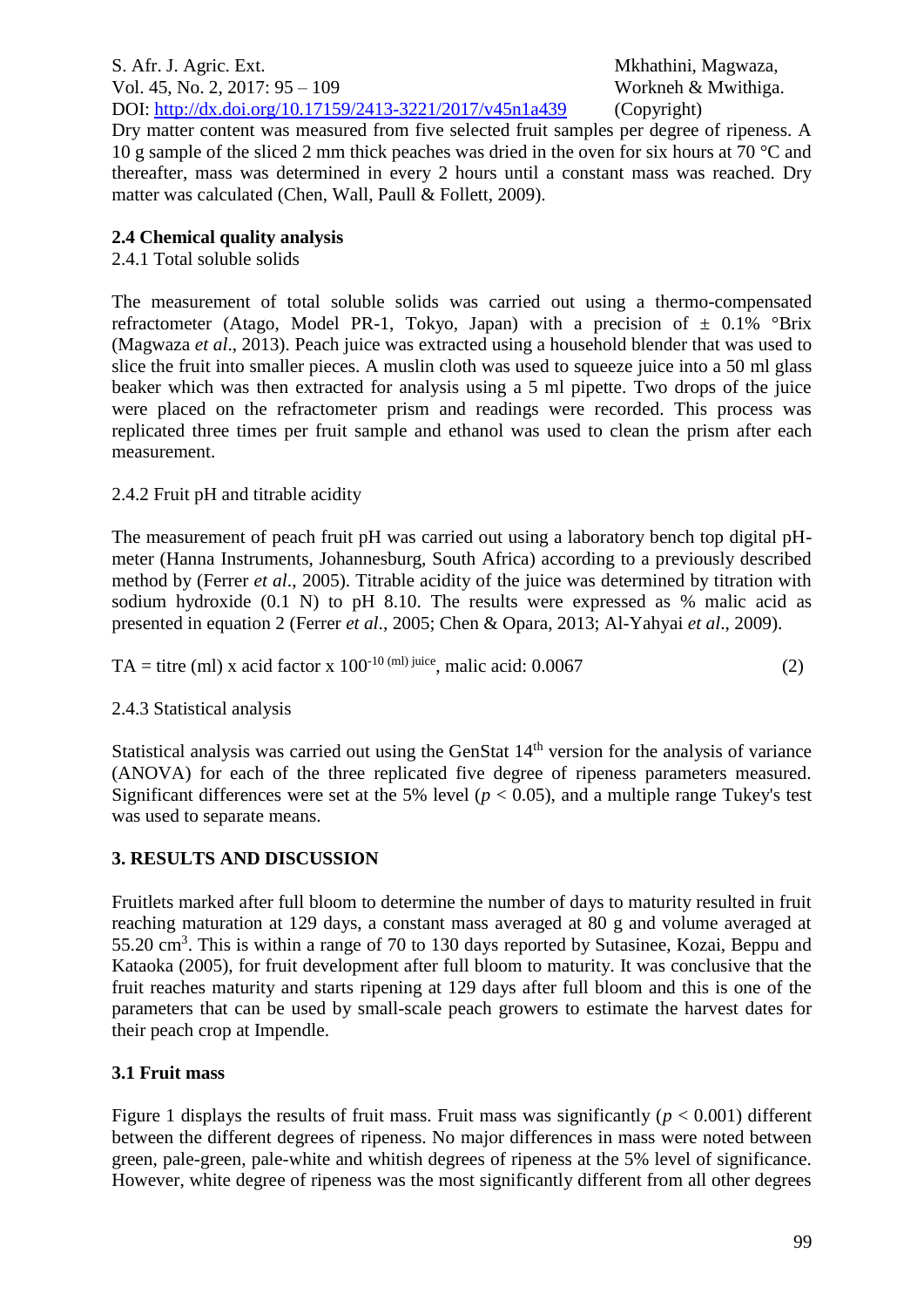Dry matter content was measured from five selected fruit samples per degree of ripeness. A 10 g sample of the sliced 2 mm thick peaches was dried in the oven for six hours at 70 °C and thereafter, mass was determined in every 2 hours until a constant mass was reached. Dry matter was calculated (Chen, Wall, Paull & Follett, 2009).

# **2.4 Chemical quality analysis**

2.4.1 Total soluble solids

The measurement of total soluble solids was carried out using a thermo-compensated refractometer (Atago, Model PR-1, Tokyo, Japan) with a precision of  $\pm$  0.1% °Brix (Magwaza *et al*., 2013). Peach juice was extracted using a household blender that was used to slice the fruit into smaller pieces. A muslin cloth was used to squeeze juice into a 50 ml glass beaker which was then extracted for analysis using a 5 ml pipette. Two drops of the juice were placed on the refractometer prism and readings were recorded. This process was replicated three times per fruit sample and ethanol was used to clean the prism after each measurement.

# 2.4.2 Fruit pH and titrable acidity

The measurement of peach fruit pH was carried out using a laboratory bench top digital pHmeter (Hanna Instruments, Johannesburg, South Africa) according to a previously described method by (Ferrer *et al*., 2005). Titrable acidity of the juice was determined by titration with sodium hydroxide (0.1 N) to pH 8.10. The results were expressed as % malic acid as presented in equation 2 (Ferrer *et al*., 2005; Chen & Opara, 2013; Al-Yahyai *et al*., 2009).

| TA = titre (ml) x acid factor x 100 <sup>-10 (ml) juice</sup> , malic acid: 0.0067 |  |
|------------------------------------------------------------------------------------|--|
|------------------------------------------------------------------------------------|--|

# 2.4.3 Statistical analysis

Statistical analysis was carried out using the GenStat 14<sup>th</sup> version for the analysis of variance (ANOVA) for each of the three replicated five degree of ripeness parameters measured. Significant differences were set at the 5% level ( $p < 0.05$ ), and a multiple range Tukey's test was used to separate means.

# **3. RESULTS AND DISCUSSION**

Fruitlets marked after full bloom to determine the number of days to maturity resulted in fruit reaching maturation at 129 days, a constant mass averaged at 80 g and volume averaged at 55.20 cm<sup>3</sup>. This is within a range of 70 to 130 days reported by Sutasinee, Kozai, Beppu and Kataoka (2005), for fruit development after full bloom to maturity. It was conclusive that the fruit reaches maturity and starts ripening at 129 days after full bloom and this is one of the parameters that can be used by small-scale peach growers to estimate the harvest dates for their peach crop at Impendle.

# **3.1 Fruit mass**

Figure 1 displays the results of fruit mass. Fruit mass was significantly ( $p < 0.001$ ) different between the different degrees of ripeness. No major differences in mass were noted between green, pale-green, pale-white and whitish degrees of ripeness at the 5% level of significance. However, white degree of ripeness was the most significantly different from all other degrees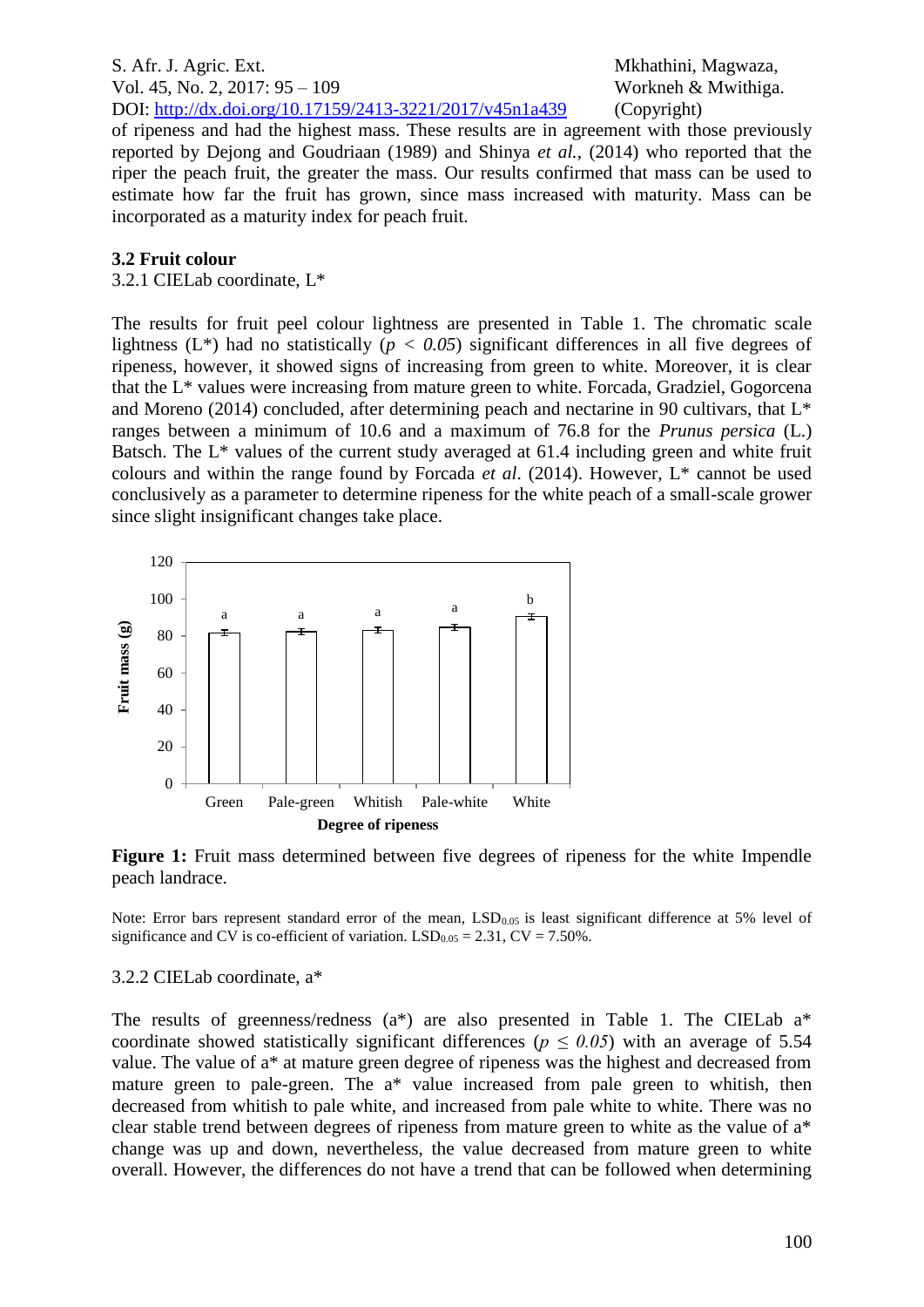of ripeness and had the highest mass. These results are in agreement with those previously reported by Dejong and Goudriaan (1989) and Shinya *et al.,* (2014) who reported that the riper the peach fruit, the greater the mass. Our results confirmed that mass can be used to estimate how far the fruit has grown, since mass increased with maturity. Mass can be incorporated as a maturity index for peach fruit.

# **3.2 Fruit colour**

#### 3.2.1 CIELab coordinate, L\*

The results for fruit peel colour lightness are presented in Table 1. The chromatic scale lightness  $(L^*)$  had no statistically ( $p < 0.05$ ) significant differences in all five degrees of ripeness, however, it showed signs of increasing from green to white. Moreover, it is clear that the L\* values were increasing from mature green to white. Forcada, Gradziel, Gogorcena and Moreno (2014) concluded, after determining peach and nectarine in 90 cultivars, that L\* ranges between a minimum of 10.6 and a maximum of 76.8 for the *Prunus persica* (L.) Batsch. The L<sup>\*</sup> values of the current study averaged at 61.4 including green and white fruit colours and within the range found by Forcada *et al*. (2014). However, L\* cannot be used conclusively as a parameter to determine ripeness for the white peach of a small-scale grower since slight insignificant changes take place.



**Figure 1:** Fruit mass determined between five degrees of ripeness for the white Impendle peach landrace.

Note: Error bars represent standard error of the mean,  $LSD<sub>0.05</sub>$  is least significant difference at 5% level of significance and CV is co-efficient of variation.  $LSD<sub>0.05</sub> = 2.31$ , CV = 7.50%.

#### 3.2.2 CIELab coordinate, a\*

The results of greenness/redness (a\*) are also presented in Table 1. The CIELab a\* coordinate showed statistically significant differences ( $p \leq 0.05$ ) with an average of 5.54 value. The value of a\* at mature green degree of ripeness was the highest and decreased from mature green to pale-green. The a\* value increased from pale green to whitish, then decreased from whitish to pale white, and increased from pale white to white. There was no clear stable trend between degrees of ripeness from mature green to white as the value of a\* change was up and down, nevertheless, the value decreased from mature green to white overall. However, the differences do not have a trend that can be followed when determining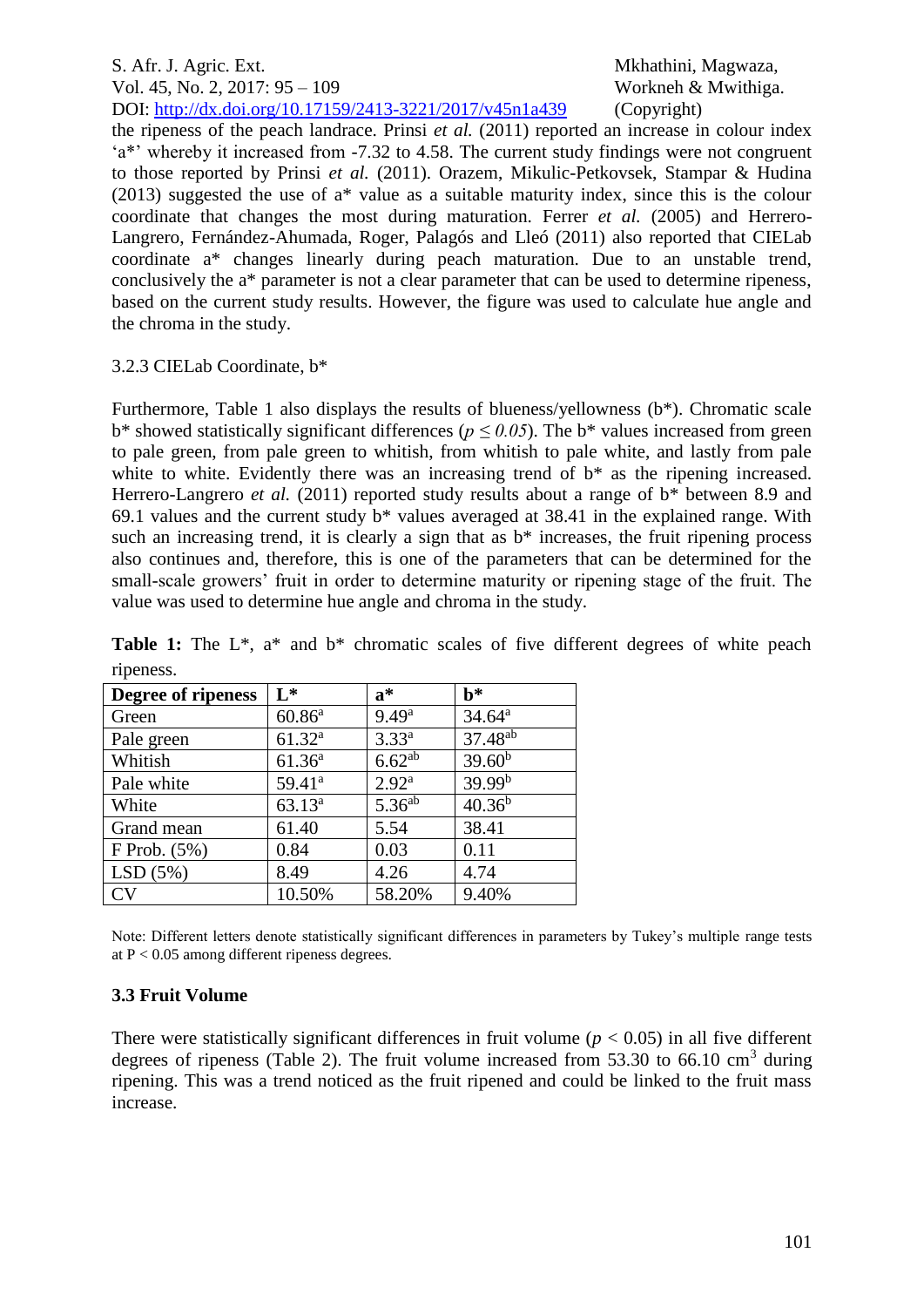the ripeness of the peach landrace. Prinsi *et al.* (2011) reported an increase in colour index 'a\*' whereby it increased from -7.32 to 4.58. The current study findings were not congruent to those reported by Prinsi *et al.* (2011). Orazem, Mikulic-Petkovsek, Stampar & Hudina (2013) suggested the use of a\* value as a suitable maturity index, since this is the colour coordinate that changes the most during maturation. Ferrer *et al.* (2005) and Herrero-Langrero, Fernández-Ahumada, Roger, Palagós and Lleó (2011) also reported that CIELab coordinate a\* changes linearly during peach maturation. Due to an unstable trend, conclusively the a\* parameter is not a clear parameter that can be used to determine ripeness, based on the current study results. However, the figure was used to calculate hue angle and the chroma in the study.

## 3.2.3 CIELab Coordinate, b\*

Furthermore, Table 1 also displays the results of blueness/yellowness (b\*). Chromatic scale  $b^*$  showed statistically significant differences ( $p \le 0.05$ ). The  $b^*$  values increased from green to pale green, from pale green to whitish, from whitish to pale white, and lastly from pale white to white. Evidently there was an increasing trend of  $b^*$  as the ripening increased. Herrero-Langrero *et al.* (2011) reported study results about a range of b<sup>\*</sup> between 8.9 and 69.1 values and the current study b\* values averaged at 38.41 in the explained range. With such an increasing trend, it is clearly a sign that as  $b^*$  increases, the fruit ripening process also continues and, therefore, this is one of the parameters that can be determined for the small-scale growers' fruit in order to determine maturity or ripening stage of the fruit. The value was used to determine hue angle and chroma in the study.

| Degree of ripeness | $L^*$       | $a^*$              | $h^*$               |
|--------------------|-------------|--------------------|---------------------|
| Green              | $60.86^a$   | $9.49^{a}$         | $34.64^a$           |
| Pale green         | $61.32^{a}$ | $3.33^{a}$         | 37.48 <sup>ab</sup> |
| Whitish            | $61.36^{a}$ | $6.62^{ab}$        | $39.60^{b}$         |
| Pale white         | $59.41^a$   | $2.92^{\rm a}$     | $39.99^{b}$         |
| White              | $63.13^{a}$ | 5.36 <sup>ab</sup> | $40.36^{b}$         |
| Grand mean         | 61.40       | 5.54               | 38.41               |
| $F$ Prob. $(5\%)$  | 0.84        | 0.03               | 0.11                |
| LSD(5%)            | 8.49        | 4.26               | 4.74                |
| <b>CV</b>          | 10.50%      | 58.20%             | 9.40%               |

Table 1: The L<sup>\*</sup>, a<sup>\*</sup> and b<sup>\*</sup> chromatic scales of five different degrees of white peach ripeness.

Note: Different letters denote statistically significant differences in parameters by Tukey's multiple range tests at  $P < 0.05$  among different ripeness degrees.

# **3.3 Fruit Volume**

There were statistically significant differences in fruit volume ( $p < 0.05$ ) in all five different degrees of ripeness (Table 2). The fruit volume increased from 53.30 to 66.10 cm<sup>3</sup> during ripening. This was a trend noticed as the fruit ripened and could be linked to the fruit mass increase.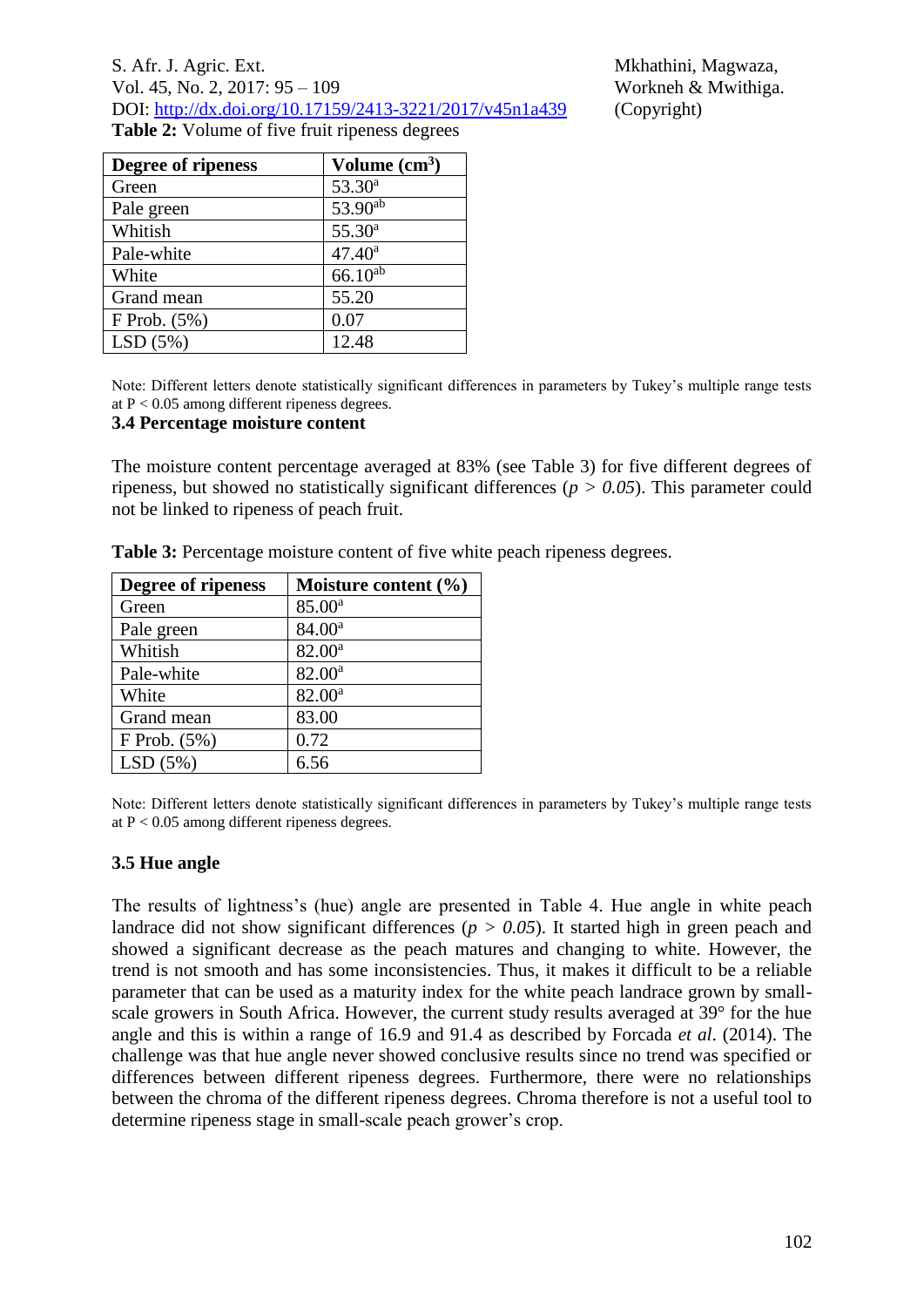| S. Afr. J. Agric. Ext.                                   |
|----------------------------------------------------------|
| Vol. 45, No. 2, 2017: $95 - 109$                         |
| DOI: http://dx.doi.org/10.17159/2413-3221/2017/v45n1a439 |
| <b>Table 2:</b> Volume of five fruit ripeness degrees    |

Mkhathini, Magwaza, Workneh & Mwithiga. (Copyright)

| Degree of ripeness | Volume $(cm3)$     |
|--------------------|--------------------|
| Green              | 53.30 <sup>a</sup> |
| Pale green         | 53.90ab            |
| Whitish            | $55.30^{a}$        |
| Pale-white         | $47.40^a$          |
| White              | $66.10^{ab}$       |
| Grand mean         | 55.20              |
| $F$ Prob. $(5\%)$  | 0.07               |
| LSD(5%)            | 12.48              |

Note: Different letters denote statistically significant differences in parameters by Tukey's multiple range tests at  $P < 0.05$  among different ripeness degrees.

#### **3.4 Percentage moisture content**

The moisture content percentage averaged at 83% (see Table 3) for five different degrees of ripeness, but showed no statistically significant differences (*p > 0.05*). This parameter could not be linked to ripeness of peach fruit.

| Degree of ripeness | Moisture content $(\% )$ |
|--------------------|--------------------------|
| Green              | 85.00 <sup>a</sup>       |
| Pale green         | 84.00 <sup>a</sup>       |
| Whitish            | $82.00^a$                |
| Pale-white         | $82.00^a$                |
| White              | 82.00 <sup>a</sup>       |
| Grand mean         | 83.00                    |
| $F$ Prob. $(5%)$   | 0.72                     |
| LSD(5%)            | 6.56                     |

**Table 3:** Percentage moisture content of five white peach ripeness degrees.

Note: Different letters denote statistically significant differences in parameters by Tukey's multiple range tests at P < 0.05 among different ripeness degrees.

#### **3.5 Hue angle**

The results of lightness's (hue) angle are presented in Table 4. Hue angle in white peach landrace did not show significant differences ( $p > 0.05$ ). It started high in green peach and showed a significant decrease as the peach matures and changing to white. However, the trend is not smooth and has some inconsistencies. Thus, it makes it difficult to be a reliable parameter that can be used as a maturity index for the white peach landrace grown by smallscale growers in South Africa. However, the current study results averaged at 39° for the hue angle and this is within a range of 16.9 and 91.4 as described by Forcada *et al*. (2014). The challenge was that hue angle never showed conclusive results since no trend was specified or differences between different ripeness degrees. Furthermore, there were no relationships between the chroma of the different ripeness degrees. Chroma therefore is not a useful tool to determine ripeness stage in small-scale peach grower's crop.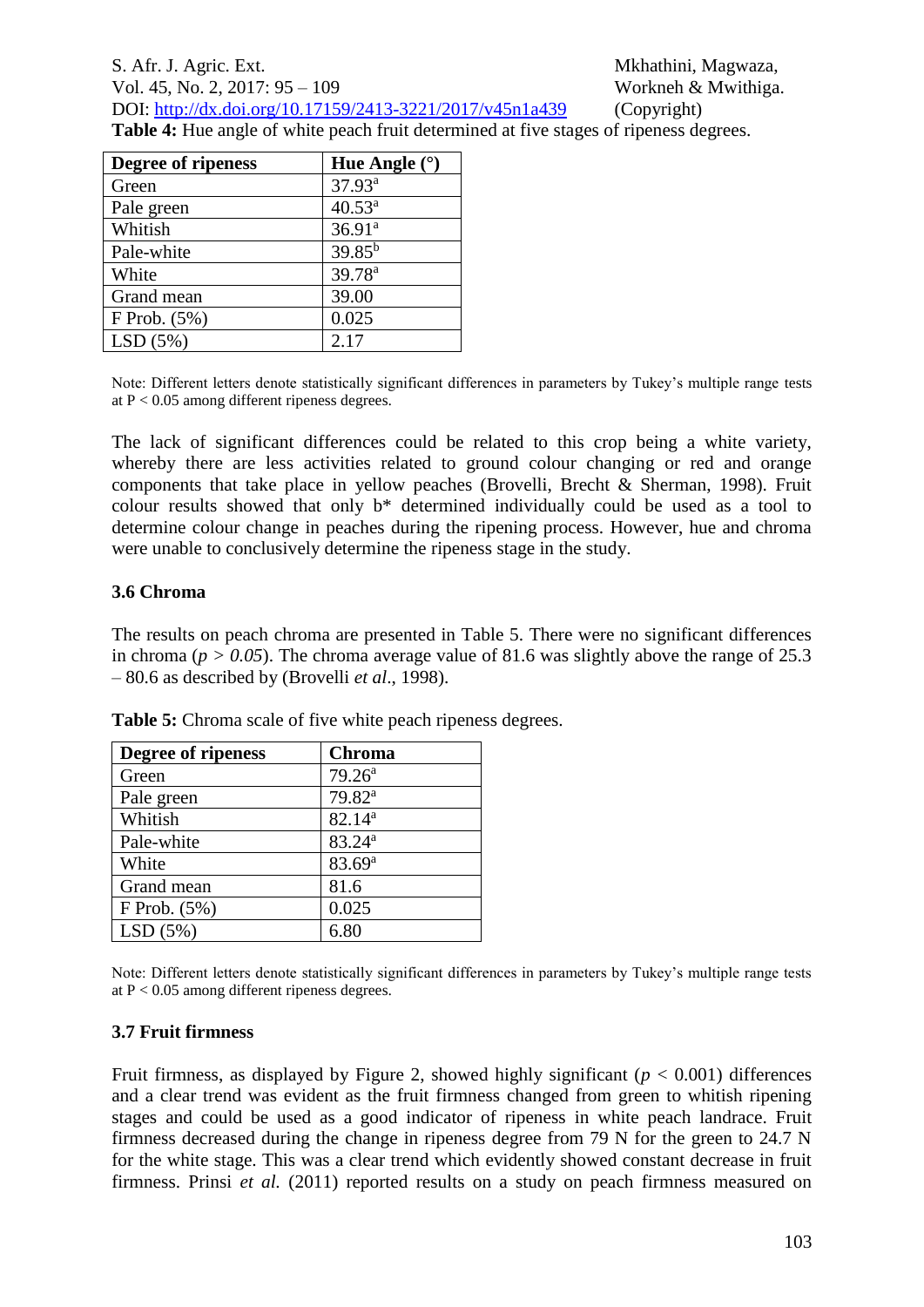**Table 4:** Hue angle of white peach fruit determined at five stages of ripeness degrees.

| Degree of ripeness | Hue Angle $(°)$    |
|--------------------|--------------------|
| Green              | $37.93^a$          |
| Pale green         | $40.53^a$          |
| Whitish            | 36.91 <sup>a</sup> |
| Pale-white         | $39.85^{b}$        |
| White              | 39.78 <sup>a</sup> |
| Grand mean         | 39.00              |
| $F$ Prob. $(5%)$   | 0.025              |
| LSD(5%)            | 2.17               |

Note: Different letters denote statistically significant differences in parameters by Tukey's multiple range tests at  $P < 0.05$  among different ripeness degrees.

The lack of significant differences could be related to this crop being a white variety, whereby there are less activities related to ground colour changing or red and orange components that take place in yellow peaches (Brovelli, Brecht & Sherman, 1998). Fruit colour results showed that only b\* determined individually could be used as a tool to determine colour change in peaches during the ripening process. However, hue and chroma were unable to conclusively determine the ripeness stage in the study.

#### **3.6 Chroma**

The results on peach chroma are presented in Table 5. There were no significant differences in chroma ( $p > 0.05$ ). The chroma average value of 81.6 was slightly above the range of 25.3 – 80.6 as described by (Brovelli *et al*., 1998).

| Degree of ripeness | <b>Chroma</b>      |
|--------------------|--------------------|
| Green              | 79.26 <sup>a</sup> |
| Pale green         | 79.82 <sup>a</sup> |
| Whitish            | $82.14^{a}$        |
| Pale-white         | 83.24 <sup>a</sup> |
| White              | $83.69^{a}$        |
| Grand mean         | 81.6               |
| F Prob. (5%)       | 0.025              |
| LSD(5%)            | 6.80               |

**Table 5:** Chroma scale of five white peach ripeness degrees.

Note: Different letters denote statistically significant differences in parameters by Tukey's multiple range tests at P < 0.05 among different ripeness degrees.

#### **3.7 Fruit firmness**

Fruit firmness, as displayed by Figure 2, showed highly significant  $(p < 0.001)$  differences and a clear trend was evident as the fruit firmness changed from green to whitish ripening stages and could be used as a good indicator of ripeness in white peach landrace. Fruit firmness decreased during the change in ripeness degree from 79 N for the green to 24.7 N for the white stage. This was a clear trend which evidently showed constant decrease in fruit firmness. Prinsi *et al.* (2011) reported results on a study on peach firmness measured on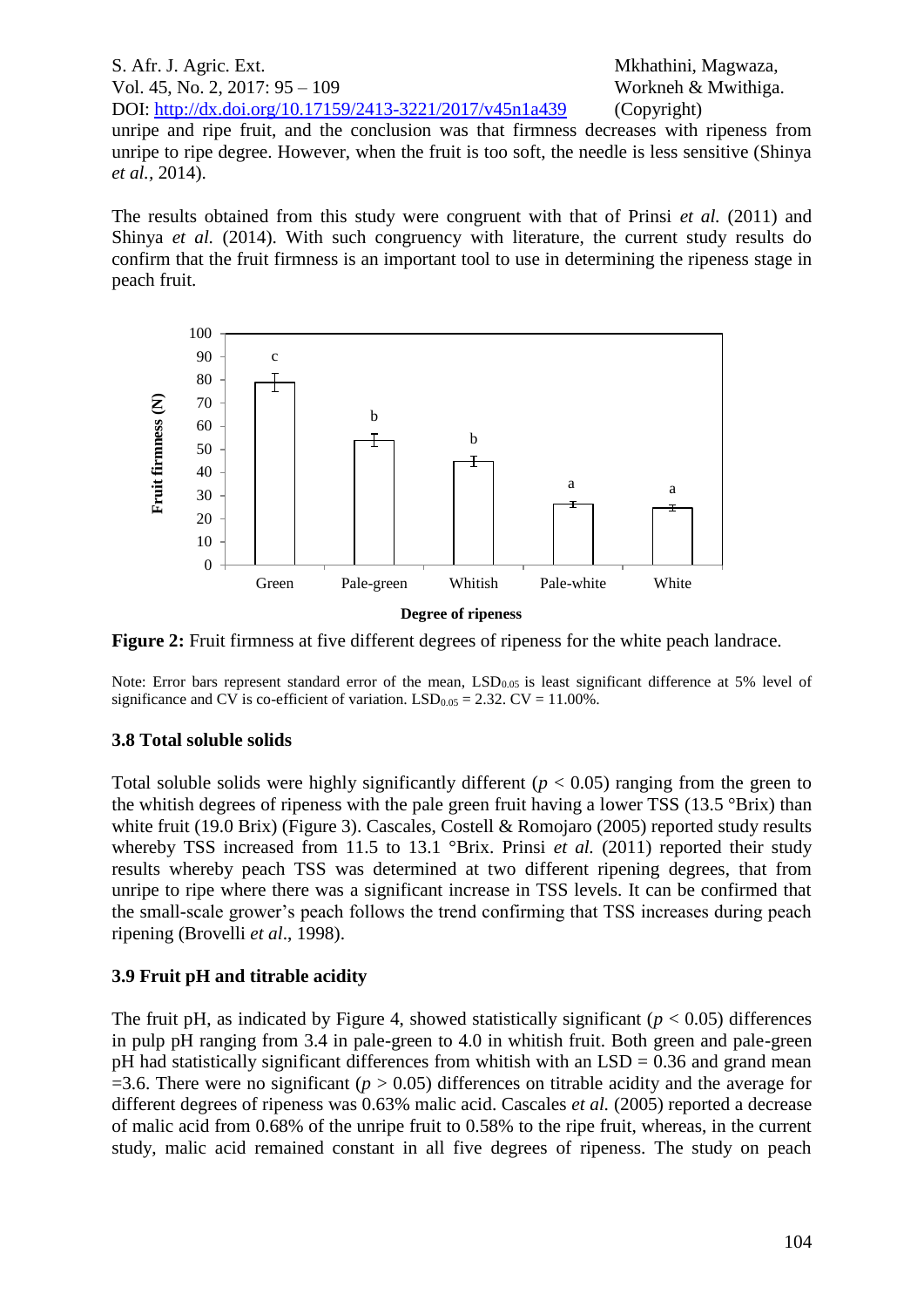S. Afr. J. Agric. Ext. Mkhathini, Magwaza, Vol. 45, No. 2, 2017: 95 – 109 Workneh & Mwithiga. DOI: <http://dx.doi.org/10.17159/2413-3221/2017/v45n1a439> (Copyright) unripe and ripe fruit, and the conclusion was that firmness decreases with ripeness from unripe to ripe degree. However, when the fruit is too soft, the needle is less sensitive (Shinya *et al.,* 2014).

The results obtained from this study were congruent with that of Prinsi *et al.* (2011) and Shinya *et al.* (2014). With such congruency with literature, the current study results do confirm that the fruit firmness is an important tool to use in determining the ripeness stage in peach fruit.



**Degree of ripeness**

**Figure 2:** Fruit firmness at five different degrees of ripeness for the white peach landrace.

Note: Error bars represent standard error of the mean,  $LSD<sub>0.05</sub>$  is least significant difference at 5% level of significance and CV is co-efficient of variation.  $LSD<sub>0.05</sub> = 2.32$ . CV = 11.00%.

# **3.8 Total soluble solids**

Total soluble solids were highly significantly different ( $p < 0.05$ ) ranging from the green to the whitish degrees of ripeness with the pale green fruit having a lower TSS (13.5 °Brix) than white fruit (19.0 Brix) (Figure 3). Cascales, Costell & Romojaro (2005) reported study results whereby TSS increased from 11.5 to 13.1 °Brix. Prinsi *et al.* (2011) reported their study results whereby peach TSS was determined at two different ripening degrees, that from unripe to ripe where there was a significant increase in TSS levels. It can be confirmed that the small-scale grower's peach follows the trend confirming that TSS increases during peach ripening (Brovelli *et al*., 1998).

# **3.9 Fruit pH and titrable acidity**

The fruit pH, as indicated by Figure 4, showed statistically significant ( $p < 0.05$ ) differences in pulp pH ranging from 3.4 in pale-green to 4.0 in whitish fruit. Both green and pale-green pH had statistically significant differences from whitish with an  $LSD = 0.36$  and grand mean  $=$ 3.6. There were no significant ( $p > 0.05$ ) differences on titrable acidity and the average for different degrees of ripeness was 0.63% malic acid. Cascales *et al.* (2005) reported a decrease of malic acid from 0.68% of the unripe fruit to 0.58% to the ripe fruit, whereas, in the current study, malic acid remained constant in all five degrees of ripeness. The study on peach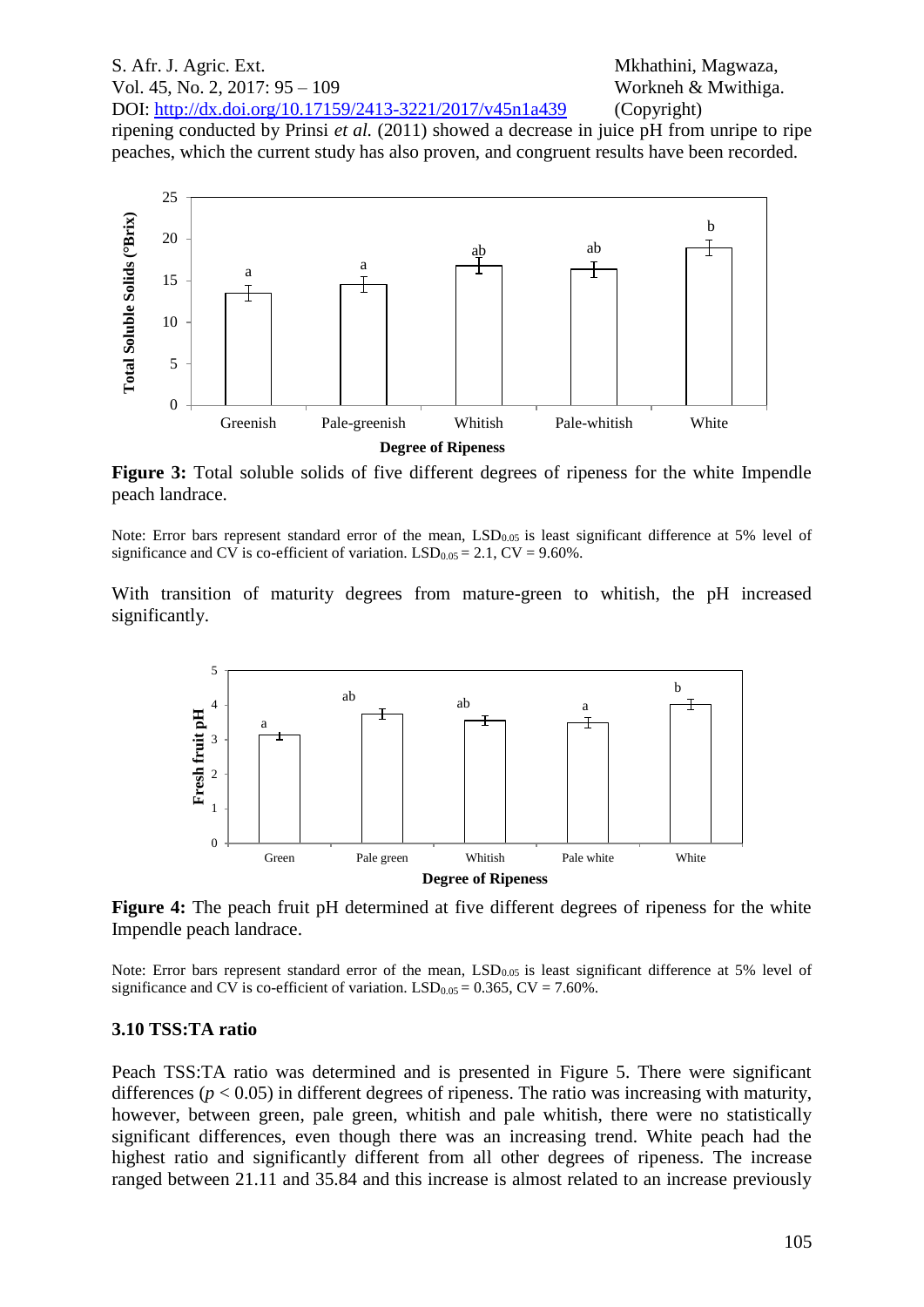ripening conducted by Prinsi *et al.* (2011) showed a decrease in juice pH from unripe to ripe peaches, which the current study has also proven, and congruent results have been recorded.



Figure 3: Total soluble solids of five different degrees of ripeness for the white Impendle peach landrace.

Note: Error bars represent standard error of the mean,  $LSD<sub>0.05</sub>$  is least significant difference at 5% level of significance and CV is co-efficient of variation.  $LSD<sub>0.05</sub> = 2.1$ , CV = 9.60%.

With transition of maturity degrees from mature-green to whitish, the pH increased significantly.



**Figure 4:** The peach fruit pH determined at five different degrees of ripeness for the white Impendle peach landrace.

Note: Error bars represent standard error of the mean,  $LSD<sub>0.05</sub>$  is least significant difference at 5% level of significance and CV is co-efficient of variation.  $LSD<sub>0.05</sub> = 0.365$ , CV = 7.60%.

#### **3.10 TSS:TA ratio**

Peach TSS:TA ratio was determined and is presented in Figure 5. There were significant differences  $(p < 0.05)$  in different degrees of ripeness. The ratio was increasing with maturity, however, between green, pale green, whitish and pale whitish, there were no statistically significant differences, even though there was an increasing trend. White peach had the highest ratio and significantly different from all other degrees of ripeness. The increase ranged between 21.11 and 35.84 and this increase is almost related to an increase previously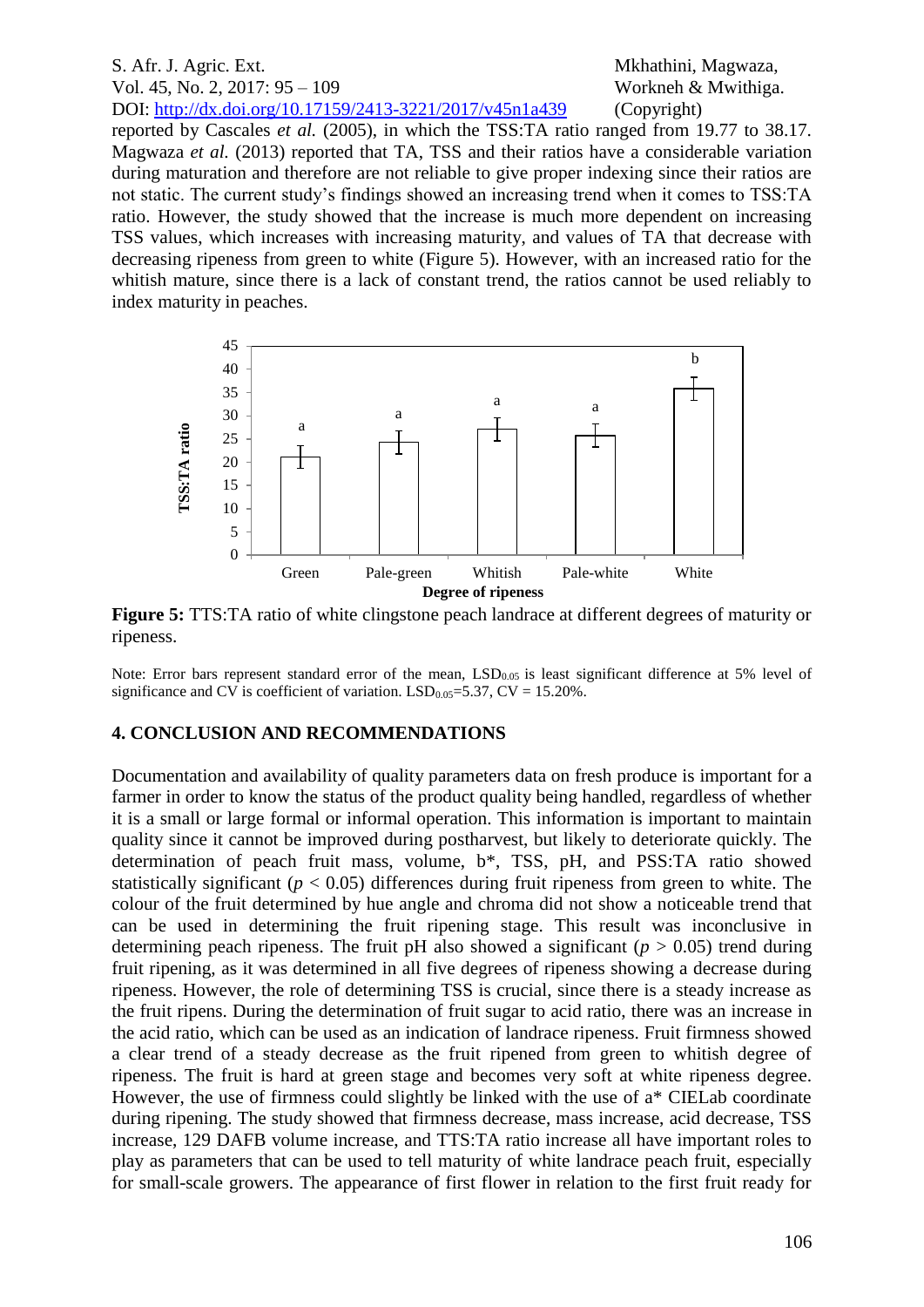reported by Cascales *et al.* (2005), in which the TSS:TA ratio ranged from 19.77 to 38.17. Magwaza *et al.* (2013) reported that TA, TSS and their ratios have a considerable variation during maturation and therefore are not reliable to give proper indexing since their ratios are not static. The current study's findings showed an increasing trend when it comes to TSS:TA ratio. However, the study showed that the increase is much more dependent on increasing TSS values, which increases with increasing maturity, and values of TA that decrease with decreasing ripeness from green to white (Figure 5). However, with an increased ratio for the whitish mature, since there is a lack of constant trend, the ratios cannot be used reliably to index maturity in peaches.



**Figure 5:** TTS:TA ratio of white clingstone peach landrace at different degrees of maturity or ripeness.

Note: Error bars represent standard error of the mean,  $LSD<sub>0.05</sub>$  is least significant difference at 5% level of significance and CV is coefficient of variation.  $LSD<sub>0.05</sub>=5.37$ , CV = 15.20%.

#### **4. CONCLUSION AND RECOMMENDATIONS**

Documentation and availability of quality parameters data on fresh produce is important for a farmer in order to know the status of the product quality being handled, regardless of whether it is a small or large formal or informal operation. This information is important to maintain quality since it cannot be improved during postharvest, but likely to deteriorate quickly. The determination of peach fruit mass, volume, b\*, TSS, pH, and PSS:TA ratio showed statistically significant ( $p < 0.05$ ) differences during fruit ripeness from green to white. The colour of the fruit determined by hue angle and chroma did not show a noticeable trend that can be used in determining the fruit ripening stage. This result was inconclusive in determining peach ripeness. The fruit pH also showed a significant ( $p > 0.05$ ) trend during fruit ripening, as it was determined in all five degrees of ripeness showing a decrease during ripeness. However, the role of determining TSS is crucial, since there is a steady increase as the fruit ripens. During the determination of fruit sugar to acid ratio, there was an increase in the acid ratio, which can be used as an indication of landrace ripeness. Fruit firmness showed a clear trend of a steady decrease as the fruit ripened from green to whitish degree of ripeness. The fruit is hard at green stage and becomes very soft at white ripeness degree. However, the use of firmness could slightly be linked with the use of a\* CIELab coordinate during ripening. The study showed that firmness decrease, mass increase, acid decrease, TSS increase, 129 DAFB volume increase, and TTS:TA ratio increase all have important roles to play as parameters that can be used to tell maturity of white landrace peach fruit, especially for small-scale growers. The appearance of first flower in relation to the first fruit ready for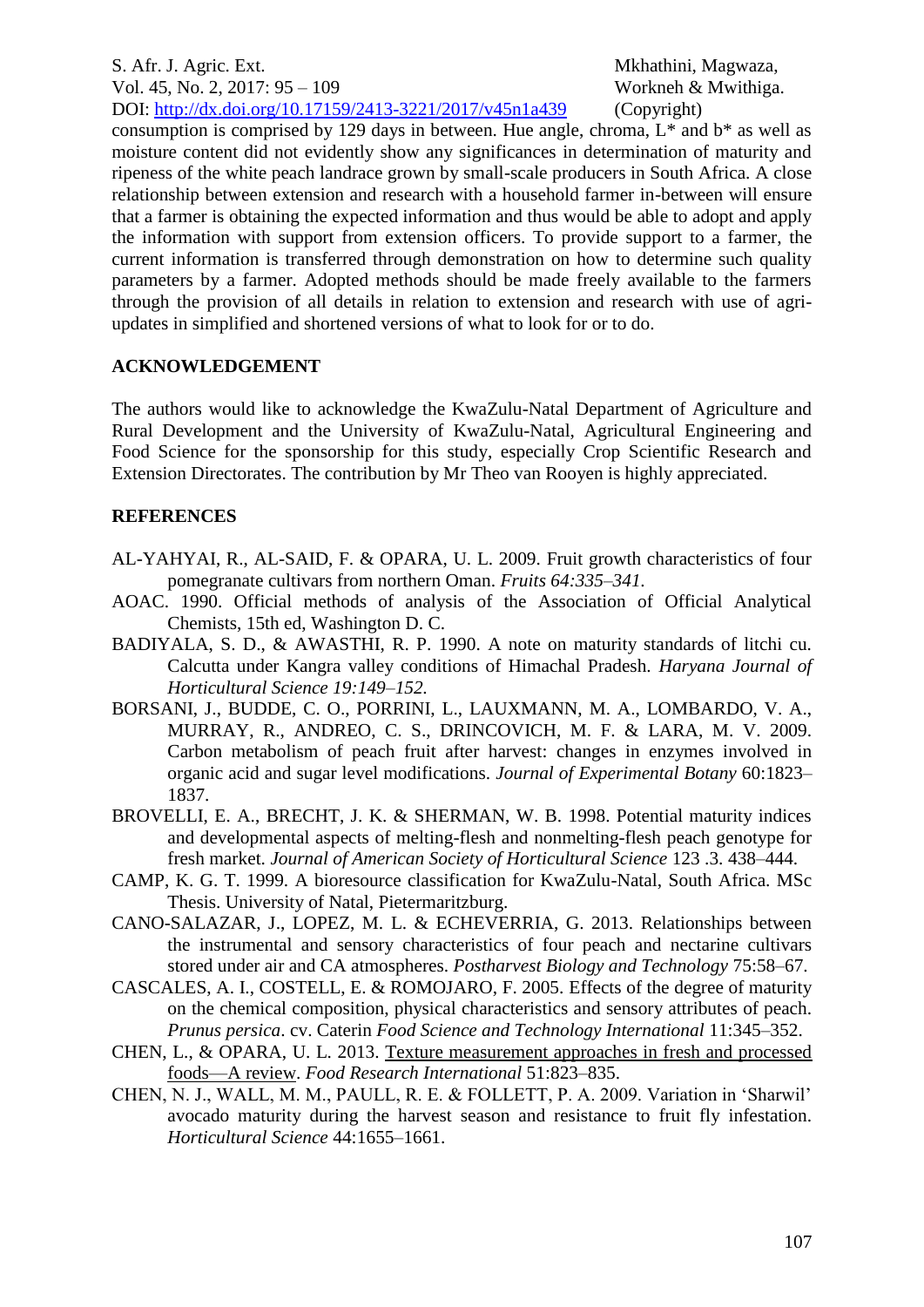consumption is comprised by 129 days in between. Hue angle, chroma,  $L^*$  and  $b^*$  as well as moisture content did not evidently show any significances in determination of maturity and ripeness of the white peach landrace grown by small-scale producers in South Africa. A close relationship between extension and research with a household farmer in-between will ensure that a farmer is obtaining the expected information and thus would be able to adopt and apply the information with support from extension officers. To provide support to a farmer, the current information is transferred through demonstration on how to determine such quality parameters by a farmer. Adopted methods should be made freely available to the farmers through the provision of all details in relation to extension and research with use of agriupdates in simplified and shortened versions of what to look for or to do.

# **ACKNOWLEDGEMENT**

The authors would like to acknowledge the KwaZulu-Natal Department of Agriculture and Rural Development and the University of KwaZulu-Natal, Agricultural Engineering and Food Science for the sponsorship for this study, especially Crop Scientific Research and Extension Directorates. The contribution by Mr Theo van Rooyen is highly appreciated.

# **REFERENCES**

- AL-YAHYAI, R., AL-SAID, F. & OPARA, U. L. 2009. Fruit growth characteristics of four pomegranate cultivars from northern Oman. *Fruits 64:335–341.*
- AOAC. 1990. Official methods of analysis of the Association of Official Analytical Chemists, 15th ed, Washington D. C.
- BADIYALA, S. D., & AWASTHI, R. P. 1990. A note on maturity standards of litchi cu. Calcutta under Kangra valley conditions of Himachal Pradesh. *Haryana Journal of Horticultural Science 19:149–152.*
- BORSANI, J., BUDDE, C. O., PORRINI, L., LAUXMANN, M. A., LOMBARDO, V. A., MURRAY, R., ANDREO, C. S., DRINCOVICH, M. F. & LARA, M. V. 2009. Carbon metabolism of peach fruit after harvest: changes in enzymes involved in organic acid and sugar level modifications. *Journal of Experimental Botany* 60:1823– 1837.
- BROVELLI, E. A., BRECHT, J. K. & SHERMAN, W. B. 1998. Potential maturity indices and developmental aspects of melting-flesh and nonmelting-flesh peach genotype for fresh market. *Journal of American Society of Horticultural Science* 123 .3. 438–444.
- CAMP, K. G. T. 1999. A bioresource classification for KwaZulu-Natal, South Africa. MSc Thesis. University of Natal, Pietermaritzburg.
- CANO-SALAZAR, J., LOPEZ, M. L. & ECHEVERRIA, G. 2013. Relationships between the instrumental and sensory characteristics of four peach and nectarine cultivars stored under air and CA atmospheres. *Postharvest Biology and Technology* 75:58–67.
- CASCALES, A. I., COSTELL, E. & ROMOJARO, F. 2005. Effects of the degree of maturity on the chemical composition, physical characteristics and sensory attributes of peach. *Prunus persica*. cv. Caterin *Food Science and Technology International* 11:345–352.
- CHEN, L., & OPARA, U. L. 2013. [Texture measurement approaches in fresh and processed](https://scholar.google.co.za/citations?view_op=view_citation&hl=en&user=-hQXNqEAAAAJ&citation_for_view=-hQXNqEAAAAJ:u5HHmVD_uO8C)  [foods—A review.](https://scholar.google.co.za/citations?view_op=view_citation&hl=en&user=-hQXNqEAAAAJ&citation_for_view=-hQXNqEAAAAJ:u5HHmVD_uO8C) *Food Research International* 51:823–835.
- CHEN, N. J., WALL, M. M., PAULL, R. E. & FOLLETT, P. A. 2009. Variation in 'Sharwil' avocado maturity during the harvest season and resistance to fruit fly infestation. *Horticultural Science* 44:1655–1661.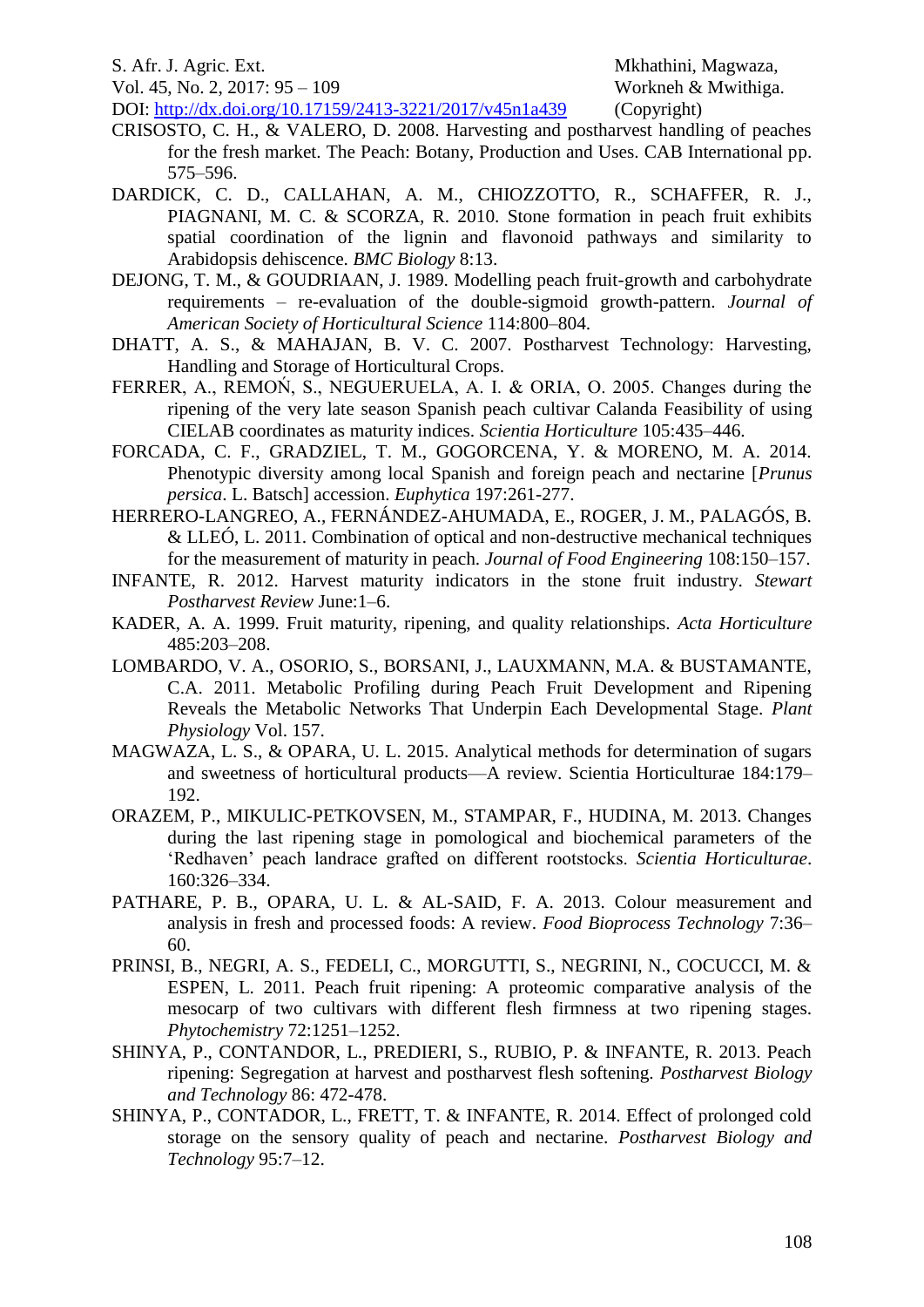Vol. 45, No. 2, 2017: 95 – 109 Workneh & Mwithiga.

S. Afr. J. Agric. Ext. Mkhathini, Magwaza,

- DOI: <http://dx.doi.org/10.17159/2413-3221/2017/v45n1a439> (Copyright) CRISOSTO, C. H., & VALERO, D. 2008. Harvesting and postharvest handling of peaches for the fresh market. The Peach: Botany, Production and Uses. CAB International pp. 575–596.
- DARDICK, C. D., CALLAHAN, A. M., CHIOZZOTTO, R., SCHAFFER, R. J., PIAGNANI, M. C. & SCORZA, R. 2010. Stone formation in peach fruit exhibits spatial coordination of the lignin and flavonoid pathways and similarity to Arabidopsis dehiscence. *BMC Biology* 8:13.
- DEJONG, T. M., & GOUDRIAAN, J. 1989. Modelling peach fruit-growth and carbohydrate requirements – re-evaluation of the double-sigmoid growth-pattern. *Journal of American Society of Horticultural Science* 114:800–804.
- DHATT, A. S., & MAHAJAN, B. V. C. 2007. Postharvest Technology: Harvesting, Handling and Storage of Horticultural Crops.
- FERRER, A., REMOŃ, S., NEGUERUELA, A. I. & ORIA, O. 2005. Changes during the ripening of the very late season Spanish peach cultivar Calanda Feasibility of using CIELAB coordinates as maturity indices. *Scientia Horticulture* 105:435–446.
- FORCADA, C. F., GRADZIEL, T. M., GOGORCENA, Y. & MORENO, M. A. 2014. Phenotypic diversity among local Spanish and foreign peach and nectarine [*Prunus persica*. L. Batsch] accession. *Euphytica* 197:261-277.
- HERRERO-LANGREO, A., FERNÁNDEZ-AHUMADA, E., ROGER, J. M., PALAGÓS, B. & LLEÓ, L. 2011. Combination of optical and non-destructive mechanical techniques for the measurement of maturity in peach. *Journal of Food Engineering* 108:150–157.
- INFANTE, R. 2012. Harvest maturity indicators in the stone fruit industry. *Stewart Postharvest Review* June:1–6.
- KADER, A. A. 1999. Fruit maturity, ripening, and quality relationships. *Acta Horticulture* 485:203–208.
- LOMBARDO, V. A., OSORIO, S., BORSANI, J., LAUXMANN, M.A. & BUSTAMANTE, C.A. 2011. Metabolic Profiling during Peach Fruit Development and Ripening Reveals the Metabolic Networks That Underpin Each Developmental Stage. *Plant Physiology* Vol. 157.
- MAGWAZA, L. S., & OPARA, U. L. 2015. Analytical methods for determination of sugars and sweetness of horticultural products—A review. Scientia Horticulturae 184:179– 192.
- ORAZEM, P., MIKULIC-PETKOVSEN, M., STAMPAR, F., HUDINA, M. 2013. Changes during the last ripening stage in pomological and biochemical parameters of the 'Redhaven' peach landrace grafted on different rootstocks. *Scientia Horticulturae*. 160:326–334.
- PATHARE, P. B., OPARA, U. L. & AL-SAID, F. A. 2013. Colour measurement and analysis in fresh and processed foods: A review. *Food Bioprocess Technology* 7:36– 60.
- PRINSI, B., NEGRI, A. S., FEDELI, C., MORGUTTI, S., NEGRINI, N., COCUCCI, M. & ESPEN, L. 2011. Peach fruit ripening: A proteomic comparative analysis of the mesocarp of two cultivars with different flesh firmness at two ripening stages. *Phytochemistry* 72:1251–1252.
- SHINYA, P., CONTANDOR, L., PREDIERI, S., RUBIO, P. & INFANTE, R. 2013. Peach ripening: Segregation at harvest and postharvest flesh softening. *Postharvest Biology and Technology* 86: 472-478.
- SHINYA, P., CONTADOR, L., FRETT, T. & INFANTE, R. 2014. Effect of prolonged cold storage on the sensory quality of peach and nectarine. *Postharvest Biology and Technology* 95:7–12.